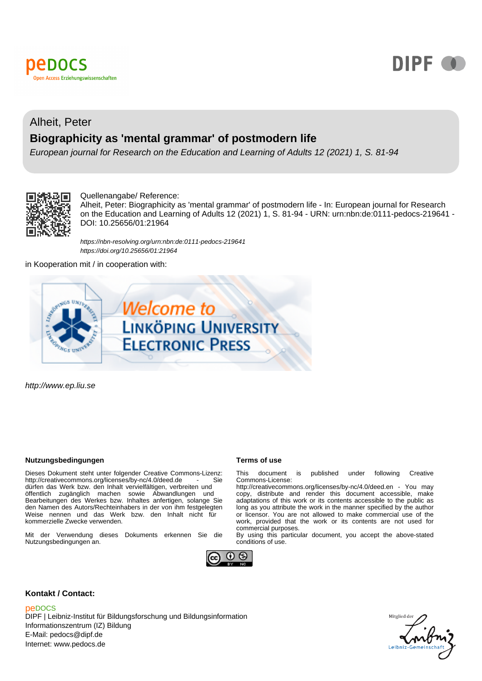



# Alheit, Peter **Biographicity as 'mental grammar' of postmodern life**

European journal for Research on the Education and Learning of Adults 12 (2021) 1, S. 81-94



#### Quellenangabe/ Reference:

Alheit, Peter: Biographicity as 'mental grammar' of postmodern life - In: European journal for Research on the Education and Learning of Adults 12 (2021) 1, S. 81-94 - URN: urn:nbn:de:0111-pedocs-219641 - DOI: 10.25656/01:21964

<https://nbn-resolving.org/urn:nbn:de:0111-pedocs-219641> <https://doi.org/10.25656/01:21964>

in Kooperation mit / in cooperation with:



http://www.ep.liu.se

#### **Nutzungsbedingungen Terms of use**

Dieses Dokument steht unter folgender Creative Commons-Lizenz:<br>http://creativecommons.org/licenses/by-nc/4.0/deed.de http://creativecommons.org/licenses/by-nc/4.0/deed.de dürfen das Werk bzw. den Inhalt vervielfältigen, verbreiten und öffentlich zugänglich machen sowie Abwandlungen und Bearbeitungen des Werkes bzw. Inhaltes anfertigen, solange Sie den Namen des Autors/Rechteinhabers in der von ihm festgelegten Weise nennen und das Werk bzw. den Inhalt nicht für kommerzielle Zwecke verwenden.

Mit der Verwendung dieses Dokuments erkennen Sie die Nutzungsbedingungen an.



This document is published under following Creative Commons-License:

http://creativecommons.org/licenses/by-nc/4.0/deed.en - You may copy, distribute and render this document accessible, make adaptations of this work or its contents accessible to the public as long as you attribute the work in the manner specified by the author or licensor. You are not allowed to make commercial use of the work, provided that the work or its contents are not used for commercial purposes.

By using this particular document, you accept the above-stated conditions of use.



#### **Kontakt / Contact:**

### peDOCS

DIPF | Leibniz-Institut für Bildungsforschung und Bildungsinformation Informationszentrum (IZ) Bildung E-Mail: pedocs@dipf.de Internet: www.pedocs.de

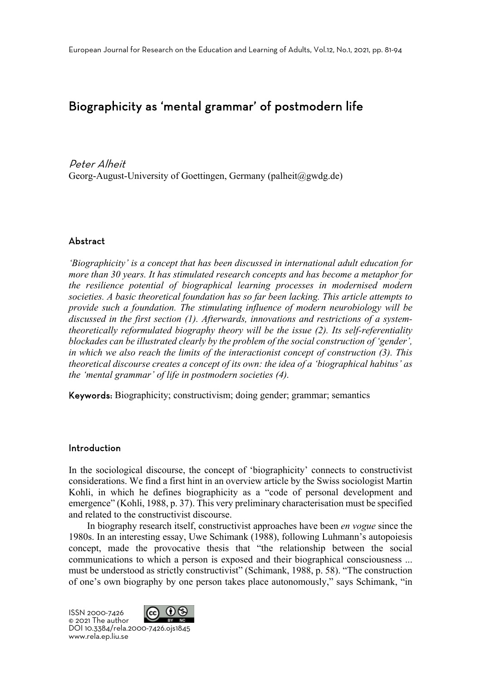# Biographicity as 'mental grammar' of postmodern life

Peter Alheit Georg-August-University of Goettingen, Germany (palheit@gwdg.de)

## Abstract

*'Biographicity' is a concept that has been discussed in international adult education for more than 30 years. It has stimulated research concepts and has become a metaphor for the resilience potential of biographical learning processes in modernised modern societies. A basic theoretical foundation has so far been lacking. This article attempts to provide such a foundation. The stimulating influence of modern neurobiology will be discussed in the first section (1). Afterwards, innovations and restrictions of a systemtheoretically reformulated biography theory will be the issue (2). Its self-referentiality blockades can be illustrated clearly by the problem of the social construction of 'gender', in which we also reach the limits of the interactionist concept of construction (3). This theoretical discourse creates a concept of its own: the idea of a 'biographical habitus' as the 'mental grammar' of life in postmodern societies (4).*

Keywords: Biographicity; constructivism; doing gender; grammar; semantics

## Introduction

In the sociological discourse, the concept of 'biographicity' connects to constructivist considerations. We find a first hint in an overview article by the Swiss sociologist Martin Kohli, in which he defines biographicity as a "code of personal development and emergence" (Kohli, 1988, p. 37). This very preliminary characterisation must be specified and related to the constructivist discourse.

In biography research itself, constructivist approaches have been *en vogue* since the 1980s. In an interesting essay, Uwe Schimank (1988), following Luhmann's autopoiesis concept, made the provocative thesis that "the relationship between the social communications to which a person is exposed and their biographical consciousness ... must be understood as strictly constructivist" (Schimank, 1988, p. 58). "The construction of one's own biography by one person takes place autonomously," says Schimank, "in

 $(i)$  (\$) ISSN 2000-7426 © 2021 The author DOI 10.3384/rela.2000-7426.ojs1845 www.rela.ep.liu.se

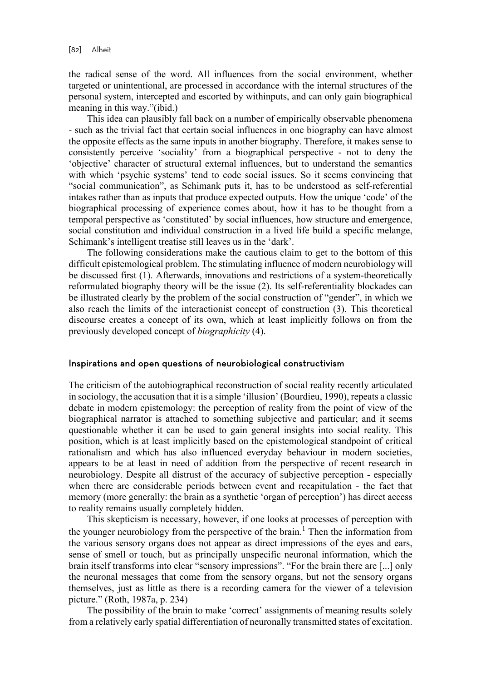the radical sense of the word. All influences from the social environment, whether targeted or unintentional, are processed in accordance with the internal structures of the personal system, intercepted and escorted by withinputs, and can only gain biographical meaning in this way."(ibid.)

This idea can plausibly fall back on a number of empirically observable phenomena - such as the trivial fact that certain social influences in one biography can have almost the opposite effects as the same inputs in another biography. Therefore, it makes sense to consistently perceive 'sociality' from a biographical perspective - not to deny the 'objective' character of structural external influences, but to understand the semantics with which 'psychic systems' tend to code social issues. So it seems convincing that "social communication", as Schimank puts it, has to be understood as self-referential intakes rather than as inputs that produce expected outputs. How the unique 'code' of the biographical processing of experience comes about, how it has to be thought from a temporal perspective as 'constituted' by social influences, how structure and emergence, social constitution and individual construction in a lived life build a specific melange, Schimank's intelligent treatise still leaves us in the 'dark'.

The following considerations make the cautious claim to get to the bottom of this difficult epistemological problem. The stimulating influence of modern neurobiology will be discussed first (1). Afterwards, innovations and restrictions of a system-theoretically reformulated biography theory will be the issue (2). Its self-referentiality blockades can be illustrated clearly by the problem of the social construction of "gender", in which we also reach the limits of the interactionist concept of construction (3). This theoretical discourse creates a concept of its own, which at least implicitly follows on from the previously developed concept of *biographicity* (4).

### Inspirations and open questions of neurobiological constructivism

The criticism of the autobiographical reconstruction of social reality recently articulated in sociology, the accusation that it is a simple 'illusion' (Bourdieu, 1990), repeats a classic debate in modern epistemology: the perception of reality from the point of view of the biographical narrator is attached to something subjective and particular; and it seems questionable whether it can be used to gain general insights into social reality. This position, which is at least implicitly based on the epistemological standpoint of critical rationalism and which has also influenced everyday behaviour in modern societies, appears to be at least in need of addition from the perspective of recent research in neurobiology. Despite all distrust of the accuracy of subjective perception - especially when there are considerable periods between event and recapitulation - the fact that memory (more generally: the brain as a synthetic 'organ of perception') has direct access to reality remains usually completely hidden.

This skepticism is necessary, however, if one looks at processes of perception with the younger neurobiology from the perspective of the brain.<sup>1</sup> Then the information from the various sensory organs does not appear as direct impressions of the eyes and ears, sense of smell or touch, but as principally unspecific neuronal information, which the brain itself transforms into clear "sensory impressions". "For the brain there are [...] only the neuronal messages that come from the sensory organs, but not the sensory organs themselves, just as little as there is a recording camera for the viewer of a television picture." (Roth, 1987a, p. 234)

The possibility of the brain to make 'correct' assignments of meaning results solely from a relatively early spatial differentiation of neuronally transmitted states of excitation.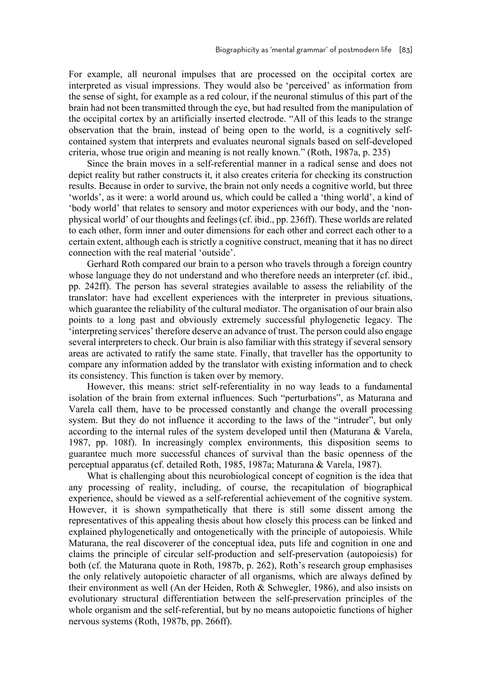For example, all neuronal impulses that are processed on the occipital cortex are interpreted as visual impressions. They would also be 'perceived' as information from the sense of sight, for example as a red colour, if the neuronal stimulus of this part of the brain had not been transmitted through the eye, but had resulted from the manipulation of the occipital cortex by an artificially inserted electrode. "All of this leads to the strange observation that the brain, instead of being open to the world, is a cognitively selfcontained system that interprets and evaluates neuronal signals based on self-developed criteria, whose true origin and meaning is not really known." (Roth, 1987a, p. 235)

Since the brain moves in a self-referential manner in a radical sense and does not depict reality but rather constructs it, it also creates criteria for checking its construction results. Because in order to survive, the brain not only needs a cognitive world, but three 'worlds', as it were: a world around us, which could be called a 'thing world', a kind of 'body world' that relates to sensory and motor experiences with our body, and the 'nonphysical world' of our thoughts and feelings (cf. ibid., pp. 236ff). These worlds are related to each other, form inner and outer dimensions for each other and correct each other to a certain extent, although each is strictly a cognitive construct, meaning that it has no direct connection with the real material 'outside'.

Gerhard Roth compared our brain to a person who travels through a foreign country whose language they do not understand and who therefore needs an interpreter (cf. ibid., pp. 242ff). The person has several strategies available to assess the reliability of the translator: have had excellent experiences with the interpreter in previous situations, which guarantee the reliability of the cultural mediator. The organisation of our brain also points to a long past and obviously extremely successful phylogenetic legacy. The 'interpreting services' therefore deserve an advance of trust. The person could also engage several interpreters to check. Our brain is also familiar with this strategy if several sensory areas are activated to ratify the same state. Finally, that traveller has the opportunity to compare any information added by the translator with existing information and to check its consistency. This function is taken over by memory.

However, this means: strict self-referentiality in no way leads to a fundamental isolation of the brain from external influences. Such "perturbations", as Maturana and Varela call them, have to be processed constantly and change the overall processing system. But they do not influence it according to the laws of the "intruder", but only according to the internal rules of the system developed until then (Maturana & Varela, 1987, pp. 108f). In increasingly complex environments, this disposition seems to guarantee much more successful chances of survival than the basic openness of the perceptual apparatus (cf. detailed Roth, 1985, 1987a; Maturana & Varela, 1987).

What is challenging about this neurobiological concept of cognition is the idea that any processing of reality, including, of course, the recapitulation of biographical experience, should be viewed as a self-referential achievement of the cognitive system. However, it is shown sympathetically that there is still some dissent among the representatives of this appealing thesis about how closely this process can be linked and explained phylogenetically and ontogenetically with the principle of autopoiesis. While Maturana, the real discoverer of the conceptual idea, puts life and cognition in one and claims the principle of circular self-production and self-preservation (autopoiesis) for both (cf. the Maturana quote in Roth, 1987b, p. 262), Roth's research group emphasises the only relatively autopoietic character of all organisms, which are always defined by their environment as well (An der Heiden, Roth & Schwegler, 1986), and also insists on evolutionary structural differentiation between the self-preservation principles of the whole organism and the self-referential, but by no means autopoietic functions of higher nervous systems (Roth, 1987b, pp. 266ff).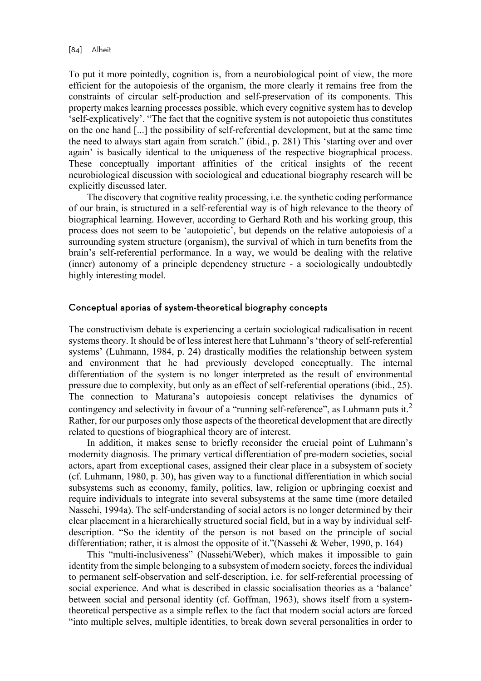To put it more pointedly, cognition is, from a neurobiological point of view, the more efficient for the autopoiesis of the organism, the more clearly it remains free from the constraints of circular self-production and self-preservation of its components. This property makes learning processes possible, which every cognitive system has to develop 'self-explicatively'. "The fact that the cognitive system is not autopoietic thus constitutes on the one hand [...] the possibility of self-referential development, but at the same time the need to always start again from scratch." (ibid., p. 281) This 'starting over and over again' is basically identical to the uniqueness of the respective biographical process. These conceptually important affinities of the critical insights of the recent neurobiological discussion with sociological and educational biography research will be explicitly discussed later.

The discovery that cognitive reality processing, i.e. the synthetic coding performance of our brain, is structured in a self-referential way is of high relevance to the theory of biographical learning. However, according to Gerhard Roth and his working group, this process does not seem to be 'autopoietic', but depends on the relative autopoiesis of a surrounding system structure (organism), the survival of which in turn benefits from the brain's self-referential performance. In a way, we would be dealing with the relative (inner) autonomy of a principle dependency structure - a sociologically undoubtedly highly interesting model.

## Conceptual aporias of system-theoretical biography concepts

The constructivism debate is experiencing a certain sociological radicalisation in recent systems theory. It should be of less interest here that Luhmann's 'theory of self-referential systems' (Luhmann, 1984, p. 24) drastically modifies the relationship between system and environment that he had previously developed conceptually. The internal differentiation of the system is no longer interpreted as the result of environmental pressure due to complexity, but only as an effect of self-referential operations (ibid., 25). The connection to Maturana's autopoiesis concept relativises the dynamics of contingency and selectivity in favour of a "running self-reference", as Luhmann puts it.<sup>2</sup> Rather, for our purposes only those aspects of the theoretical development that are directly related to questions of biographical theory are of interest.

In addition, it makes sense to briefly reconsider the crucial point of Luhmann's modernity diagnosis. The primary vertical differentiation of pre-modern societies, social actors, apart from exceptional cases, assigned their clear place in a subsystem of society (cf. Luhmann, 1980, p. 30), has given way to a functional differentiation in which social subsystems such as economy, family, politics, law, religion or upbringing coexist and require individuals to integrate into several subsystems at the same time (more detailed Nassehi, 1994a). The self-understanding of social actors is no longer determined by their clear placement in a hierarchically structured social field, but in a way by individual selfdescription. "So the identity of the person is not based on the principle of social differentiation; rather, it is almost the opposite of it."(Nassehi & Weber, 1990, p. 164)

This "multi-inclusiveness" (Nassehi/Weber), which makes it impossible to gain identity from the simple belonging to a subsystem of modern society, forces the individual to permanent self-observation and self-description, i.e. for self-referential processing of social experience. And what is described in classic socialisation theories as a 'balance' between social and personal identity (cf. Goffman, 1963), shows itself from a systemtheoretical perspective as a simple reflex to the fact that modern social actors are forced "into multiple selves, multiple identities, to break down several personalities in order to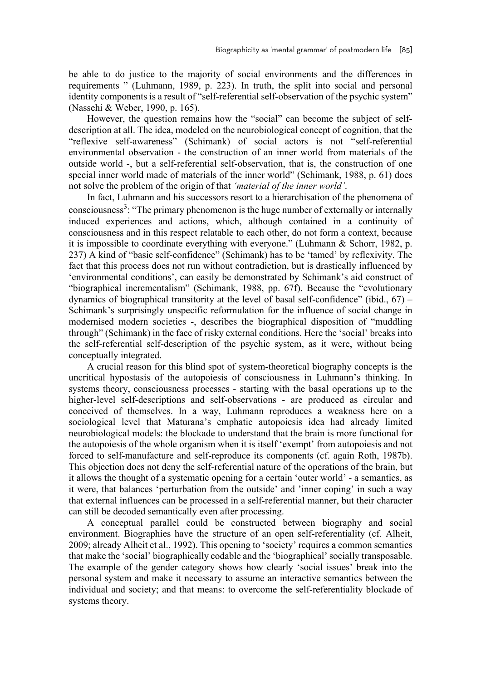be able to do justice to the majority of social environments and the differences in requirements " (Luhmann, 1989, p. 223). In truth, the split into social and personal identity components is a result of "self-referential self-observation of the psychic system" (Nassehi & Weber, 1990, p. 165).

However, the question remains how the "social" can become the subject of selfdescription at all. The idea, modeled on the neurobiological concept of cognition, that the "reflexive self-awareness" (Schimank) of social actors is not "self-referential environmental observation - the construction of an inner world from materials of the outside world -, but a self-referential self-observation, that is, the construction of one special inner world made of materials of the inner world" (Schimank, 1988, p. 61) does not solve the problem of the origin of that *'material of the inner world'*.

In fact, Luhmann and his successors resort to a hierarchisation of the phenomena of consciousness<sup>3</sup>: "The primary phenomenon is the huge number of externally or internally induced experiences and actions, which, although contained in a continuity of consciousness and in this respect relatable to each other, do not form a context, because it is impossible to coordinate everything with everyone." (Luhmann & Schorr, 1982, p. 237) A kind of "basic self-confidence" (Schimank) has to be 'tamed' by reflexivity. The fact that this process does not run without contradiction, but is drastically influenced by 'environmental conditions', can easily be demonstrated by Schimank's aid construct of "biographical incrementalism" (Schimank, 1988, pp. 67f). Because the "evolutionary dynamics of biographical transitority at the level of basal self-confidence" (ibid.,  $67$ ) – Schimank's surprisingly unspecific reformulation for the influence of social change in modernised modern societies -, describes the biographical disposition of "muddling through" (Schimank) in the face of risky external conditions. Here the 'social' breaks into the self-referential self-description of the psychic system, as it were, without being conceptually integrated.

A crucial reason for this blind spot of system-theoretical biography concepts is the uncritical hypostasis of the autopoiesis of consciousness in Luhmann's thinking. In systems theory, consciousness processes - starting with the basal operations up to the higher-level self-descriptions and self-observations - are produced as circular and conceived of themselves. In a way, Luhmann reproduces a weakness here on a sociological level that Maturana's emphatic autopoiesis idea had already limited neurobiological models: the blockade to understand that the brain is more functional for the autopoiesis of the whole organism when it is itself 'exempt' from autopoiesis and not forced to self-manufacture and self-reproduce its components (cf. again Roth, 1987b). This objection does not deny the self-referential nature of the operations of the brain, but it allows the thought of a systematic opening for a certain 'outer world' - a semantics, as it were, that balances 'perturbation from the outside' and 'inner coping' in such a way that external influences can be processed in a self-referential manner, but their character can still be decoded semantically even after processing.

A conceptual parallel could be constructed between biography and social environment. Biographies have the structure of an open self-referentiality (cf. Alheit, 2009; already Alheit et al., 1992). This opening to 'society' requires a common semantics that make the 'social' biographically codable and the 'biographical' socially transposable. The example of the gender category shows how clearly 'social issues' break into the personal system and make it necessary to assume an interactive semantics between the individual and society; and that means: to overcome the self-referentiality blockade of systems theory.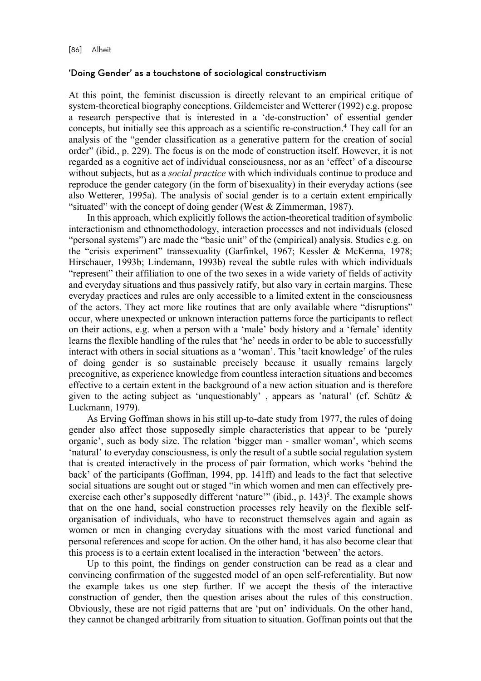## 'Doing Gender' as a touchstone of sociological constructivism

At this point, the feminist discussion is directly relevant to an empirical critique of system-theoretical biography conceptions. Gildemeister and Wetterer (1992) e.g. propose a research perspective that is interested in a 'de-construction' of essential gender concepts, but initially see this approach as a scientific re-construction.<sup>4</sup> They call for an analysis of the "gender classification as a generative pattern for the creation of social order" (ibid., p. 229). The focus is on the mode of construction itself. However, it is not regarded as a cognitive act of individual consciousness, nor as an 'effect' of a discourse without subjects, but as a *social practice* with which individuals continue to produce and reproduce the gender category (in the form of bisexuality) in their everyday actions (see also Wetterer, 1995a). The analysis of social gender is to a certain extent empirically "situated" with the concept of doing gender (West  $&$  Zimmerman, 1987).

In this approach, which explicitly follows the action-theoretical tradition of symbolic interactionism and ethnomethodology, interaction processes and not individuals (closed "personal systems") are made the "basic unit" of the (empirical) analysis. Studies e.g. on the "crisis experiment" transsexuality (Garfinkel, 1967; Kessler & McKenna, 1978; Hirschauer, 1993b; Lindemann, 1993b) reveal the subtle rules with which individuals "represent" their affiliation to one of the two sexes in a wide variety of fields of activity and everyday situations and thus passively ratify, but also vary in certain margins. These everyday practices and rules are only accessible to a limited extent in the consciousness of the actors. They act more like routines that are only available where "disruptions" occur, where unexpected or unknown interaction patterns force the participants to reflect on their actions, e.g. when a person with a 'male' body history and a 'female' identity learns the flexible handling of the rules that 'he' needs in order to be able to successfully interact with others in social situations as a 'woman'. This 'tacit knowledge' of the rules of doing gender is so sustainable precisely because it usually remains largely precognitive, as experience knowledge from countless interaction situations and becomes effective to a certain extent in the background of a new action situation and is therefore given to the acting subject as 'unquestionably', appears as 'natural' (cf. Schütz  $\&$ Luckmann, 1979).

As Erving Goffman shows in his still up-to-date study from 1977, the rules of doing gender also affect those supposedly simple characteristics that appear to be 'purely organic', such as body size. The relation 'bigger man - smaller woman', which seems 'natural' to everyday consciousness, is only the result of a subtle social regulation system that is created interactively in the process of pair formation, which works 'behind the back' of the participants (Goffman, 1994, pp. 141ff) and leads to the fact that selective social situations are sought out or staged "in which women and men can effectively preexercise each other's supposedly different 'nature'" (ibid., p.  $143$ )<sup>5</sup>. The example shows that on the one hand, social construction processes rely heavily on the flexible selforganisation of individuals, who have to reconstruct themselves again and again as women or men in changing everyday situations with the most varied functional and personal references and scope for action. On the other hand, it has also become clear that this process is to a certain extent localised in the interaction 'between' the actors.

Up to this point, the findings on gender construction can be read as a clear and convincing confirmation of the suggested model of an open self-referentiality. But now the example takes us one step further. If we accept the thesis of the interactive construction of gender, then the question arises about the rules of this construction. Obviously, these are not rigid patterns that are 'put on' individuals. On the other hand, they cannot be changed arbitrarily from situation to situation. Goffman points out that the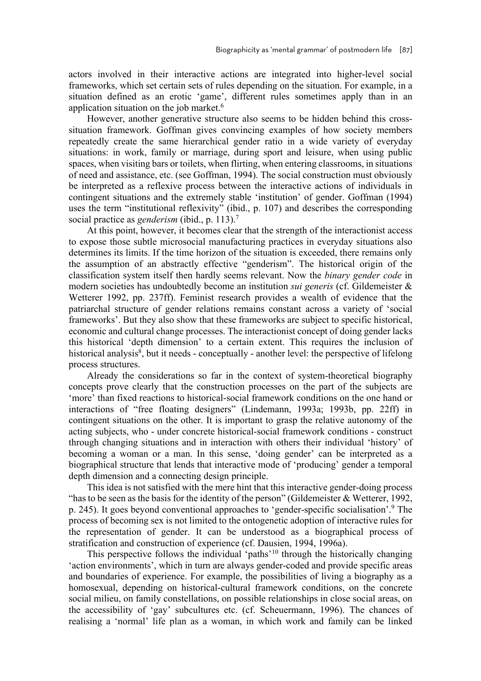actors involved in their interactive actions are integrated into higher-level social frameworks, which set certain sets of rules depending on the situation. For example, in a situation defined as an erotic 'game', different rules sometimes apply than in an application situation on the job market.<sup>6</sup>

However, another generative structure also seems to be hidden behind this crosssituation framework. Goffman gives convincing examples of how society members repeatedly create the same hierarchical gender ratio in a wide variety of everyday situations: in work, family or marriage, during sport and leisure, when using public spaces, when visiting bars or toilets, when flirting, when entering classrooms, in situations of need and assistance, etc. (see Goffman, 1994). The social construction must obviously be interpreted as a reflexive process between the interactive actions of individuals in contingent situations and the extremely stable 'institution' of gender. Goffman (1994) uses the term "institutional reflexivity" (ibid., p. 107) and describes the corresponding social practice as *genderism* (ibid., p. 113).7

At this point, however, it becomes clear that the strength of the interactionist access to expose those subtle microsocial manufacturing practices in everyday situations also determines its limits. If the time horizon of the situation is exceeded, there remains only the assumption of an abstractly effective "genderism". The historical origin of the classification system itself then hardly seems relevant. Now the *binary gender code* in modern societies has undoubtedly become an institution *sui generis* (cf. Gildemeister & Wetterer 1992, pp. 237ff). Feminist research provides a wealth of evidence that the patriarchal structure of gender relations remains constant across a variety of 'social frameworks'. But they also show that these frameworks are subject to specific historical, economic and cultural change processes. The interactionist concept of doing gender lacks this historical 'depth dimension' to a certain extent. This requires the inclusion of historical analysis<sup>8</sup>, but it needs - conceptually - another level: the perspective of lifelong process structures.

Already the considerations so far in the context of system-theoretical biography concepts prove clearly that the construction processes on the part of the subjects are 'more' than fixed reactions to historical-social framework conditions on the one hand or interactions of "free floating designers" (Lindemann, 1993a; 1993b, pp. 22ff) in contingent situations on the other. It is important to grasp the relative autonomy of the acting subjects, who - under concrete historical-social framework conditions - construct through changing situations and in interaction with others their individual 'history' of becoming a woman or a man. In this sense, 'doing gender' can be interpreted as a biographical structure that lends that interactive mode of 'producing' gender a temporal depth dimension and a connecting design principle.

This idea is not satisfied with the mere hint that this interactive gender-doing process "has to be seen as the basis for the identity of the person" (Gildemeister  $&$  Wetterer, 1992, p. 245). It goes beyond conventional approaches to 'gender-specific socialisation'. <sup>9</sup> The process of becoming sex is not limited to the ontogenetic adoption of interactive rules for the representation of gender. It can be understood as a biographical process of stratification and construction of experience (cf. Dausien, 1994, 1996a).

This perspective follows the individual 'paths'10 through the historically changing 'action environments', which in turn are always gender-coded and provide specific areas and boundaries of experience. For example, the possibilities of living a biography as a homosexual, depending on historical-cultural framework conditions, on the concrete social milieu, on family constellations, on possible relationships in close social areas, on the accessibility of 'gay' subcultures etc. (cf. Scheuermann, 1996). The chances of realising a 'normal' life plan as a woman, in which work and family can be linked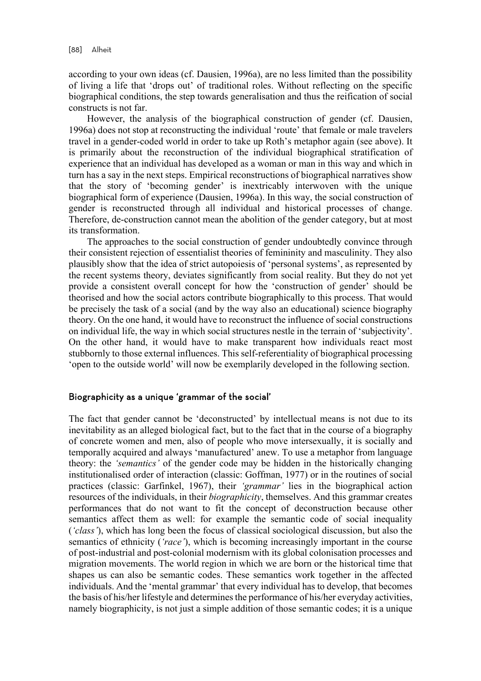according to your own ideas (cf. Dausien, 1996a), are no less limited than the possibility of living a life that 'drops out' of traditional roles. Without reflecting on the specific biographical conditions, the step towards generalisation and thus the reification of social constructs is not far.

However, the analysis of the biographical construction of gender (cf. Dausien, 1996a) does not stop at reconstructing the individual 'route' that female or male travelers travel in a gender-coded world in order to take up Roth's metaphor again (see above). It is primarily about the reconstruction of the individual biographical stratification of experience that an individual has developed as a woman or man in this way and which in turn has a say in the next steps. Empirical reconstructions of biographical narratives show that the story of 'becoming gender' is inextricably interwoven with the unique biographical form of experience (Dausien, 1996a). In this way, the social construction of gender is reconstructed through all individual and historical processes of change. Therefore, de-construction cannot mean the abolition of the gender category, but at most its transformation.

The approaches to the social construction of gender undoubtedly convince through their consistent rejection of essentialist theories of femininity and masculinity. They also plausibly show that the idea of strict autopoiesis of 'personal systems', as represented by the recent systems theory, deviates significantly from social reality. But they do not yet provide a consistent overall concept for how the 'construction of gender' should be theorised and how the social actors contribute biographically to this process. That would be precisely the task of a social (and by the way also an educational) science biography theory. On the one hand, it would have to reconstruct the influence of social constructions on individual life, the way in which social structures nestle in the terrain of 'subjectivity'. On the other hand, it would have to make transparent how individuals react most stubbornly to those external influences. This self-referentiality of biographical processing 'open to the outside world' will now be exemplarily developed in the following section.

## Biographicity as a unique 'grammar of the social'

The fact that gender cannot be 'deconstructed' by intellectual means is not due to its inevitability as an alleged biological fact, but to the fact that in the course of a biography of concrete women and men, also of people who move intersexually, it is socially and temporally acquired and always 'manufactured' anew. To use a metaphor from language theory: the *'semantics'* of the gender code may be hidden in the historically changing institutionalised order of interaction (classic: Goffman, 1977) or in the routines of social practices (classic: Garfinkel, 1967), their *'grammar'* lies in the biographical action resources of the individuals, in their *biographicity*, themselves. And this grammar creates performances that do not want to fit the concept of deconstruction because other semantics affect them as well: for example the semantic code of social inequality (*'class'*), which has long been the focus of classical sociological discussion, but also the semantics of ethnicity (*'race'*), which is becoming increasingly important in the course of post-industrial and post-colonial modernism with its global colonisation processes and migration movements. The world region in which we are born or the historical time that shapes us can also be semantic codes. These semantics work together in the affected individuals. And the 'mental grammar' that every individual has to develop, that becomes the basis of his/her lifestyle and determines the performance of his/her everyday activities, namely biographicity, is not just a simple addition of those semantic codes; it is a unique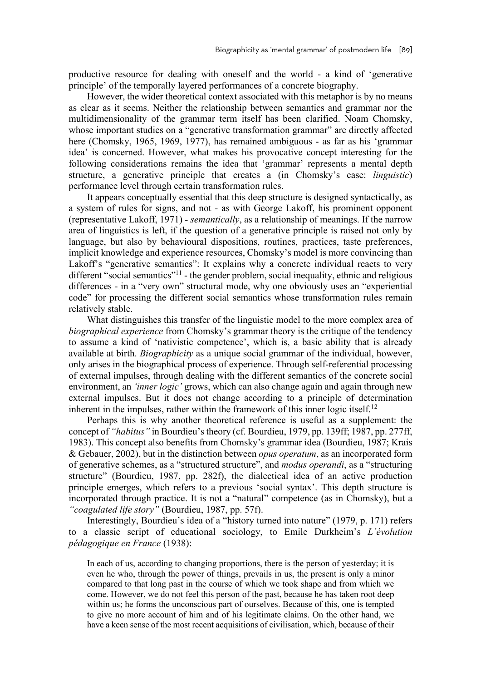productive resource for dealing with oneself and the world - a kind of 'generative principle' of the temporally layered performances of a concrete biography.

However, the wider theoretical context associated with this metaphor is by no means as clear as it seems. Neither the relationship between semantics and grammar nor the multidimensionality of the grammar term itself has been clarified. Noam Chomsky, whose important studies on a "generative transformation grammar" are directly affected here (Chomsky, 1965, 1969, 1977), has remained ambiguous - as far as his 'grammar idea' is concerned. However, what makes his provocative concept interesting for the following considerations remains the idea that 'grammar' represents a mental depth structure, a generative principle that creates a (in Chomsky's case: *linguistic*) performance level through certain transformation rules.

It appears conceptually essential that this deep structure is designed syntactically, as a system of rules for signs, and not - as with George Lakoff, his prominent opponent (representative Lakoff, 1971) - *semantically*, as a relationship of meanings. If the narrow area of linguistics is left, if the question of a generative principle is raised not only by language, but also by behavioural dispositions, routines, practices, taste preferences, implicit knowledge and experience resources, Chomsky's model is more convincing than Lakoff's "generative semantics": It explains why a concrete individual reacts to very different "social semantics"<sup>11</sup> - the gender problem, social inequality, ethnic and religious differences - in a "very own" structural mode, why one obviously uses an "experiential code" for processing the different social semantics whose transformation rules remain relatively stable.

What distinguishes this transfer of the linguistic model to the more complex area of *biographical experience* from Chomsky's grammar theory is the critique of the tendency to assume a kind of 'nativistic competence', which is, a basic ability that is already available at birth. *Biographicity* as a unique social grammar of the individual, however, only arises in the biographical process of experience. Through self-referential processing of external impulses, through dealing with the different semantics of the concrete social environment, an *'inner logic'* grows, which can also change again and again through new external impulses. But it does not change according to a principle of determination inherent in the impulses, rather within the framework of this inner logic itself.<sup>12</sup>

Perhaps this is why another theoretical reference is useful as a supplement: the concept of *"habitus"* in Bourdieu's theory (cf. Bourdieu, 1979, pp. 139ff; 1987, pp. 277ff, 1983). This concept also benefits from Chomsky's grammar idea (Bourdieu, 1987; Krais & Gebauer, 2002), but in the distinction between *opus operatum*, as an incorporated form of generative schemes, as a "structured structure", and *modus operandi*, as a "structuring structure" (Bourdieu, 1987, pp. 282f), the dialectical idea of an active production principle emerges, which refers to a previous 'social syntax'. This depth structure is incorporated through practice. It is not a "natural" competence (as in Chomsky), but a *"coagulated life story"* (Bourdieu, 1987, pp. 57f).

Interestingly, Bourdieu's idea of a "history turned into nature" (1979, p. 171) refers to a classic script of educational sociology, to Emile Durkheim's *L'évolution pédagogique en France* (1938):

In each of us, according to changing proportions, there is the person of yesterday; it is even he who, through the power of things, prevails in us, the present is only a minor compared to that long past in the course of which we took shape and from which we come. However, we do not feel this person of the past, because he has taken root deep within us; he forms the unconscious part of ourselves. Because of this, one is tempted to give no more account of him and of his legitimate claims. On the other hand, we have a keen sense of the most recent acquisitions of civilisation, which, because of their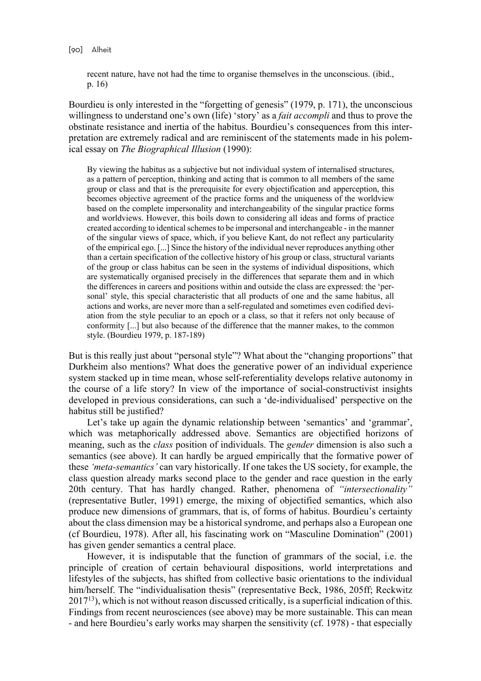recent nature, have not had the time to organise themselves in the unconscious. (ibid., p. 16)

Bourdieu is only interested in the "forgetting of genesis" (1979, p. 171), the unconscious willingness to understand one's own (life) 'story' as a *fait accompli* and thus to prove the obstinate resistance and inertia of the habitus. Bourdieu's consequences from this interpretation are extremely radical and are reminiscent of the statements made in his polemical essay on *The Biographical Illusion* (1990):

By viewing the habitus as a subjective but not individual system of internalised structures, as a pattern of perception, thinking and acting that is common to all members of the same group or class and that is the prerequisite for every objectification and apperception, this becomes objective agreement of the practice forms and the uniqueness of the worldview based on the complete impersonality and interchangeability of the singular practice forms and worldviews. However, this boils down to considering all ideas and forms of practice created according to identical schemes to be impersonal and interchangeable - in the manner of the singular views of space, which, if you believe Kant, do not reflect any particularity of the empirical ego. [...] Since the history of the individual never reproduces anything other than a certain specification of the collective history of his group or class, structural variants of the group or class habitus can be seen in the systems of individual dispositions, which are systematically organised precisely in the differences that separate them and in which the differences in careers and positions within and outside the class are expressed: the 'personal' style, this special characteristic that all products of one and the same habitus, all actions and works, are never more than a self-regulated and sometimes even codified deviation from the style peculiar to an epoch or a class, so that it refers not only because of conformity [...] but also because of the difference that the manner makes, to the common style. (Bourdieu 1979, p. 187-189)

But is this really just about "personal style"? What about the "changing proportions" that Durkheim also mentions? What does the generative power of an individual experience system stacked up in time mean, whose self-referentiality develops relative autonomy in the course of a life story? In view of the importance of social-constructivist insights developed in previous considerations, can such a 'de-individualised' perspective on the habitus still be justified?

Let's take up again the dynamic relationship between 'semantics' and 'grammar', which was metaphorically addressed above. Semantics are objectified horizons of meaning, such as the *class* position of individuals. The *gender* dimension is also such a semantics (see above). It can hardly be argued empirically that the formative power of these *'meta-semantics'* can vary historically. If one takes the US society, for example, the class question already marks second place to the gender and race question in the early 20th century. That has hardly changed. Rather, phenomena of *"intersectionality"* (representative Butler, 1991) emerge, the mixing of objectified semantics, which also produce new dimensions of grammars, that is, of forms of habitus. Bourdieu's certainty about the class dimension may be a historical syndrome, and perhaps also a European one (cf Bourdieu, 1978). After all, his fascinating work on "Masculine Domination" (2001) has given gender semantics a central place.

However, it is indisputable that the function of grammars of the social, i.e. the principle of creation of certain behavioural dispositions, world interpretations and lifestyles of the subjects, has shifted from collective basic orientations to the individual him/herself. The "individualisation thesis" (representative Beck, 1986, 205ff; Reckwitz  $2017<sup>13</sup>$ ), which is not without reason discussed critically, is a superficial indication of this. Findings from recent neurosciences (see above) may be more sustainable. This can mean - and here Bourdieu's early works may sharpen the sensitivity (cf. 1978) - that especially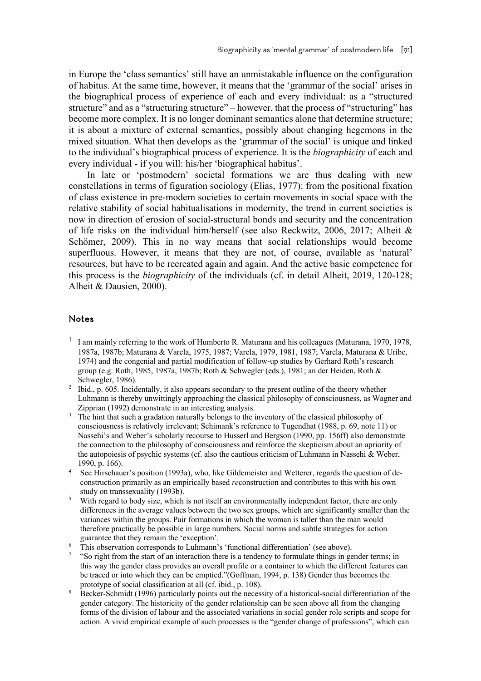in Europe the 'class semantics' still have an unmistakable influence on the configuration of habitus. At the same time, however, it means that the 'grammar of the social' arises in the biographical process of experience of each and every individual: as a "structured structure" and as a "structuring structure" – however, that the process of "structuring" has become more complex. It is no longer dominant semantics alone that determine structure; it is about a mixture of external semantics, possibly about changing hegemons in the mixed situation. What then develops as the 'grammar of the social' is unique and linked to the individual's biographical process of experience. It is the *biographicity* of each and every individual - if you will: his/her 'biographical habitus'.

In late or 'postmodern' societal formations we are thus dealing with new constellations in terms of figuration sociology (Elias, 1977): from the positional fixation of class existence in pre-modern societies to certain movements in social space with the relative stability of social habitualisations in modernity, the trend in current societies is now in direction of erosion of social-structural bonds and security and the concentration of life risks on the individual him/herself (see also Reckwitz, 2006, 2017; Alheit & Schömer, 2009). This in no way means that social relationships would become superfluous. However, it means that they are not, of course, available as 'natural' resources, but have to be recreated again and again. And the active basic competence for this process is the *biographicity* of the individuals (cf. in detail Alheit, 2019, 120-128; Alheit & Dausien, 2000).

## Notes

- <sup>1</sup> I am mainly referring to the work of Humberto R. Maturana and his colleagues (Maturana, 1970, 1978, 1987a, 1987b; Maturana & Varela, 1975, 1987; Varela, 1979, 1981, 1987; Varela, Maturana & Uribe, 1974) and the congenial and partial modification of follow-up studies by Gerhard Roth's research group (e.g. Roth, 1985, 1987a, 1987b; Roth & Schwegler (eds.), 1981; an der Heiden, Roth & Schwegler, 1986).
- <sup>2</sup> Ibid., p. 605. Incidentally, it also appears secondary to the present outline of the theory whether Luhmann is thereby unwittingly approaching the classical philosophy of consciousness, as Wagner and Zipprian (1992) demonstrate in an interesting analysis.
- <sup>3</sup> The hint that such a gradation naturally belongs to the inventory of the classical philosophy of consciousness is relatively irrelevant; Schimank's reference to Tugendhat (1988, p. 69, note 11) or Nassehi's and Weber's scholarly recourse to Husserl and Bergson (1990, pp. 156ff) also demonstrate the connection to the philosophy of consciousness and reinforce the skepticism about an apriority of the autopoiesis of psychic systems (cf. also the cautious criticism of Luhmann in Nassehi & Weber, 1990, p. 166).
- 4 See Hirschauer's position (1993a), who, like Gildemeister and Wetterer, regards the question of deconstruction primarily as an empirically based *re*construction and contributes to this with his own study on transsexuality (1993b).
- 5 With regard to body size, which is not itself an environmentally independent factor, there are only differences in the average values between the two sex groups, which are significantly smaller than the variances within the groups. Pair formations in which the woman is taller than the man would therefore practically be possible in large numbers. Social norms and subtle strategies for action guarantee that they remain the 'exception'.
- 6 This observation corresponds to Luhmann's 'functional differentiation' (see above).
- 7 "So right from the start of an interaction there is a tendency to formulate things in gender terms; in this way the gender class provides an overall profile or a container to which the different features can be traced or into which they can be emptied."(Goffman, 1994, p. 138) Gender thus becomes the prototype of social classification at all (cf. ibid., p. 108).
- 8 Becker-Schmidt (1996) particularly points out the necessity of a historical-social differentiation of the gender category. The historicity of the gender relationship can be seen above all from the changing forms of the division of labour and the associated variations in social gender role scripts and scope for action. A vivid empirical example of such processes is the "gender change of professions", which can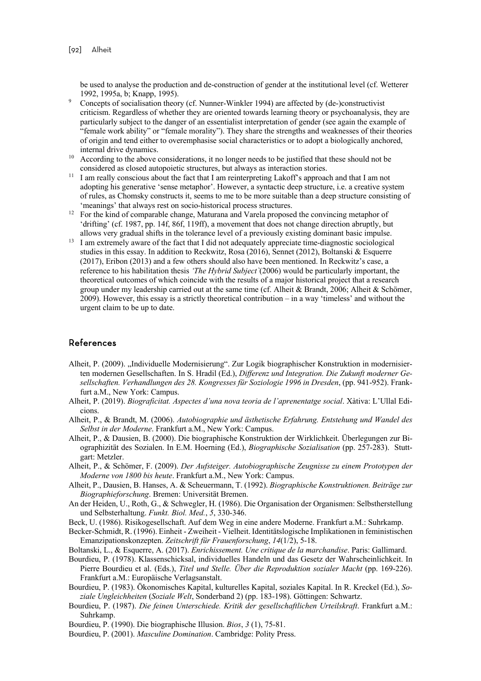be used to analyse the production and de-construction of gender at the institutional level (cf. Wetterer 1992, 1995a, b; Knapp, 1995).

- 9 Concepts of socialisation theory (cf. Nunner-Winkler 1994) are affected by (de-)constructivist criticism. Regardless of whether they are oriented towards learning theory or psychoanalysis, they are particularly subject to the danger of an essentialist interpretation of gender (see again the example of "female work ability" or "female morality"). They share the strengths and weaknesses of their theories of origin and tend either to overemphasise social characteristics or to adopt a biologically anchored, internal drive dynamics.
- <sup>10</sup> According to the above considerations, it no longer needs to be justified that these should not be considered as closed autopoietic structures, but always as interaction stories.
- <sup>11</sup> I am really conscious about the fact that I am reinterpreting Lakoff's approach and that I am not adopting his generative 'sense metaphor'. However, a syntactic deep structure, i.e. a creative system of rules, as Chomsky constructs it, seems to me to be more suitable than a deep structure consisting of 'meanings' that always rest on socio-historical process structures.
- $12$  For the kind of comparable change, Maturana and Varela proposed the convincing metaphor of 'drifting' (cf. 1987, pp. 14f, 86f, 119ff), a movement that does not change direction abruptly, but allows very gradual shifts in the tolerance level of a previously existing dominant basic impulse.
- <sup>13</sup> I am extremely aware of the fact that I did not adequately appreciate time-diagnostic sociological studies in this essay. In addition to Reckwitz, Rosa (2016), Sennet (2012), Boltanski & Esquerre (2017), Eribon (2013) and a few others should also have been mentioned. In Reckwitz's case, a reference to his habilitation thesis *'The Hybrid Subject`*(2006) would be particularly important, the theoretical outcomes of which coincide with the results of a major historical project that a research group under my leadership carried out at the same time (cf. Alheit & Brandt, 2006; Alheit & Schömer, 2009). However, this essay is a strictly theoretical contribution – in a way 'timeless' and without the urgent claim to be up to date.

## References

- Alheit, P. (2009). "Individuelle Modernisierung". Zur Logik biographischer Konstruktion in modernisierten modernen Gesellschaften. In S. Hradil (Ed.), *Differenz und Integration. Die Zukunft moderner Gesellschaften. Verhandlungen des 28. Kongresses für Soziologie 1996 in Dresden*, (pp. 941-952). Frankfurt a.M., New York: Campus.
- Alheit, P. (2019). *Biograficitat. Aspectes d'una nova teoria de l'aprenentatge social*. Xàtiva: L'Ullal Edicions.
- Alheit, P., & Brandt, M. (2006). *Autobiographie und ästhetische Erfahrung. Entstehung und Wandel des Selbst in der Moderne*. Frankfurt a.M., New York: Campus.
- Alheit, P., & Dausien, B. (2000). Die biographische Konstruktion der Wirklichkeit. Überlegungen zur Biographizität des Sozialen. In E.M. Hoerning (Ed.), *Biographische Sozialisation* (pp. 257-283). Stuttgart: Metzler.
- Alheit, P., & Schömer, F. (2009). *Der Aufsteiger. Autobiographische Zeugnisse zu einem Prototypen der Moderne von 1800 bis heute*. Frankfurt a.M., New York: Campus.
- Alheit, P., Dausien, B. Hanses, A. & Scheuermann, T. (1992). *Biographische Konstruktionen. Beiträge zur Biographieforschung*. Bremen: Universität Bremen.
- An der Heiden, U., Roth, G., & Schwegler, H. (1986). Die Organisation der Organismen: Selbstherstellung und Selbsterhaltung. *Funkt. Biol. Med.*, *5*, 330-346.
- Beck, U. (1986). Risikogesellschaft. Auf dem Weg in eine andere Moderne. Frankfurt a.M.: Suhrkamp.
- Becker-Schmidt, R. (1996). Einheit Zweiheit Vielheit. Identitätslogische Implikationen in feministischen Emanzipationskonzepten. *Zeitschrift für Frauenforschung*, *14*(1/2), 5-18.
- Boltanski, L., & Esquerre, A. (2017). *Enrichissement. Une critique de la marchandise*. Paris: Gallimard.
- Bourdieu, P. (1978). Klassenschicksal, individuelles Handeln und das Gesetz der Wahrscheinlichkeit. In Pierre Bourdieu et al. (Eds.), *Titel und Stelle. Über die Reproduktion sozialer Macht* (pp. 169-226). Frankfurt a.M.: Europäische Verlagsanstalt.
- Bourdieu, P. (1983). Ökonomisches Kapital, kulturelles Kapital, soziales Kapital. In R. Kreckel (Ed.), *Soziale Ungleichheiten* (*Soziale Welt*, Sonderband 2) (pp. 183-198). Göttingen: Schwartz.
- Bourdieu, P. (1987). *Die feinen Unterschiede. Kritik der gesellschaftlichen Urteilskraft*. Frankfurt a.M.: Suhrkamp.
- Bourdieu, P. (1990). Die biographische Illusion. *Bios*, *3* (1), 75-81.
- Bourdieu, P. (2001). *Masculine Domination*. Cambridge: Polity Press.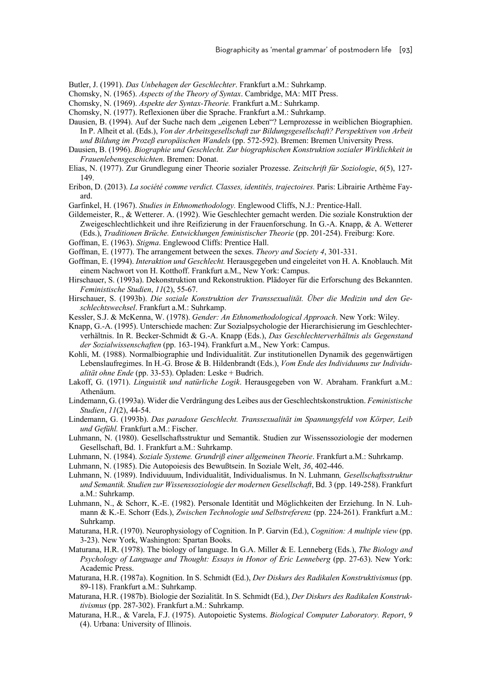Butler, J. (1991). *Das Unbehagen der Geschlechter*. Frankfurt a.M.: Suhrkamp.

- Chomsky, N. (1965). *Aspects of the Theory of Syntax*. Cambridge, MA: MIT Press.
- Chomsky, N. (1969). *Aspekte der Syntax-Theorie.* Frankfurt a.M.: Suhrkamp.
- Chomsky, N. (1977). Reflexionen über die Sprache. Frankfurt a.M.: Suhrkamp.
- Dausien, B. (1994). Auf der Suche nach dem "eigenen Leben"? Lernprozesse in weiblichen Biographien. In P. Alheit et al. (Eds.), *Von der Arbeitsgesellschaft zur Bildungsgesellschaft? Perspektiven von Arbeit und Bildung im Prozeß europäischen Wandels* (pp. 572-592). Bremen: Bremen University Press.
- Dausien, B. (1996). *Biographie und Geschlecht. Zur biographischen Konstruktion sozialer Wirklichkeit in Frauenlebensgeschichten*. Bremen: Donat.
- Elias, N. (1977). Zur Grundlegung einer Theorie sozialer Prozesse. *Zeitschrift für Soziologie*, *6*(5), 127- 149.
- Eribon, D. (2013). *La société comme verdict. Classes, identités, trajectoires.* Paris: Librairie Arthème Fayard.
- Garfinkel, H. (1967). *Studies in Ethnomethodology.* Englewood Cliffs, N.J.: Prentice-Hall.
- Gildemeister, R., & Wetterer. A. (1992). Wie Geschlechter gemacht werden. Die soziale Konstruktion der Zweigeschlechtlichkeit und ihre Reifizierung in der Frauenforschung. In G.-A. Knapp, & A. Wetterer (Eds.), *Traditionen Brüche. Entwicklungen feministischer Theorie* (pp. 201-254). Freiburg: Kore.
- Goffman, E. (1963). *Stigma*. Englewood Cliffs: Prentice Hall.
- Goffman, E. (1977). The arrangement between the sexes. *Theory and Society 4*, 301-331.
- Goffman, E. (1994). *Interaktion und Geschlecht.* Herausgegeben und eingeleitet von H. A. Knoblauch. Mit einem Nachwort von H. Kotthoff. Frankfurt a.M., New York: Campus.
- Hirschauer, S. (1993a). Dekonstruktion und Rekonstruktion. Plädoyer für die Erforschung des Bekannten. *Feministische Studien*, *11*(2), 55-67.
- Hirschauer, S. (1993b). *Die soziale Konstruktion der Transsexualität. Über die Medizin und den Geschlechtswechsel*. Frankfurt a.M.: Suhrkamp.
- Kessler, S.J. & McKenna, W. (1978). *Gender: An Ethnomethodological Approach*. New York: Wiley.
- Knapp, G.-A. (1995). Unterschiede machen: Zur Sozialpsychologie der Hierarchisierung im Geschlechterverhältnis. In R. Becker-Schmidt & G.-A. Knapp (Eds.), *Das Geschlechterverhältnis als Gegenstand der Sozialwissenschaften* (pp. 163-194). Frankfurt a.M., New York: Campus.
- Kohli, M. (1988). Normalbiographie und Individualität. Zur institutionellen Dynamik des gegenwärtigen Lebenslaufregimes. In H.-G. Brose & B. Hildenbrandt (Eds.), *Vom Ende des Individuums zur Individualität ohne Ende* (pp. 33-53). Opladen: Leske + Budrich.
- Lakoff, G. (1971). *Linguistik und natürliche Logik*. Herausgegeben von W. Abraham. Frankfurt a.M.: Athenäum.
- Lindemann, G. (1993a). Wider die Verdrängung des Leibes aus der Geschlechtskonstruktion. *Feministische Studien*, *11*(2), 44-54.
- Lindemann, G. (1993b). *Das paradoxe Geschlecht. Transsexualität im Spannungsfeld von Körper, Leib und Gefühl.* Frankfurt a.M.: Fischer.
- Luhmann, N. (1980). Gesellschaftsstruktur und Semantik. Studien zur Wissenssoziologie der modernen Gesellschaft, Bd. 1. Frankfurt a.M.: Suhrkamp.
- Luhmann, N. (1984). *Soziale Systeme. Grundriß einer allgemeinen Theorie*. Frankfurt a.M.: Suhrkamp.
- Luhmann, N. (1985). Die Autopoiesis des Bewußtsein. In Soziale Welt, *36*, 402-446.
- Luhmann, N. (1989). Individuuum, Individualität, Individualismus. In N. Luhmann*, Gesellschaftsstruktur und Semantik. Studien zur Wissenssoziologie der modernen Gesellschaft*, Bd. 3 (pp. 149-258). Frankfurt a.M.: Suhrkamp.
- Luhmann, N., & Schorr, K.-E. (1982). Personale Identität und Möglichkeiten der Erziehung. In N. Luhmann & K.-E. Schorr (Eds.), *Zwischen Technologie und Selbstreferenz* (pp. 224-261). Frankfurt a.M.: Suhrkamp.
- Maturana, H.R. (1970). Neurophysiology of Cognition. In P. Garvin (Ed.), *Cognition: A multiple view* (pp. 3-23). New York, Washington: Spartan Books.
- Maturana, H.R. (1978). The biology of language. In G.A. Miller & E. Lenneberg (Eds.), *The Biology and Psychology of Language and Thought: Essays in Honor of Eric Lenneberg* (pp. 27-63). New York: Academic Press.
- Maturana, H.R. (1987a). Kognition. In S. Schmidt (Ed.), *Der Diskurs des Radikalen Konstruktivismus* (pp. 89-118). Frankfurt a.M.: Suhrkamp.
- Maturana, H.R. (1987b). Biologie der Sozialität. In S. Schmidt (Ed.), *Der Diskurs des Radikalen Konstruktivismus* (pp. 287-302). Frankfurt a.M.: Suhrkamp.
- Maturana, H.R., & Varela, F.J. (1975). Autopoietic Systems. *Biological Computer Laboratory. Report*, *9*  (4). Urbana: University of Illinois.